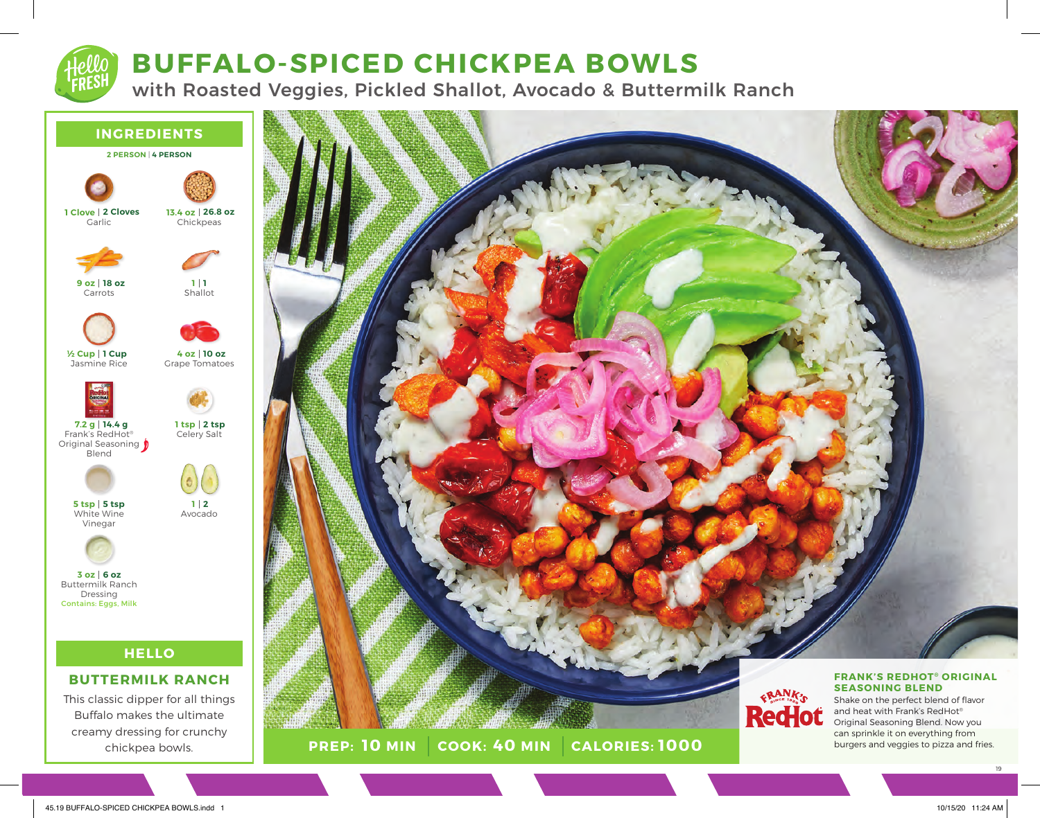## **BUFFALO-SPICED CHICKPEA BOWLS**

with Roasted Veggies, Pickled Shallot, Avocado & Buttermilk Ranch

#### **INGREDIENTS**







Shallot **1 1**

Grape Tomatoes

**10 oz 4 oz**

Avocado

**2 1**



Jasmine Rice **1 Cup ½ Cup**



Frank's RedHot® **14.4 g 7.2 g**



Original Seasoning  $\oint$ Blend



White Wine Vinegar **5 tsp 5 tsp**



Buttermilk Ranch Dressing Contains: Eggs, Milk **6 oz 3 oz**

### **HELLO**

#### **BUTTERMILK RANCH**

This classic dipper for all things Buffalo makes the ultimate creamy dressing for crunchy chickpea bowls.



**PREP: 10 MIN COOK: 40 MIN 10 MIN 40 MIN 1000** and heat with Frank's RedHot® Original Seasoning Blend. Now you can sprinkle it on everything from burgers and veggies to pizza and fries.

19